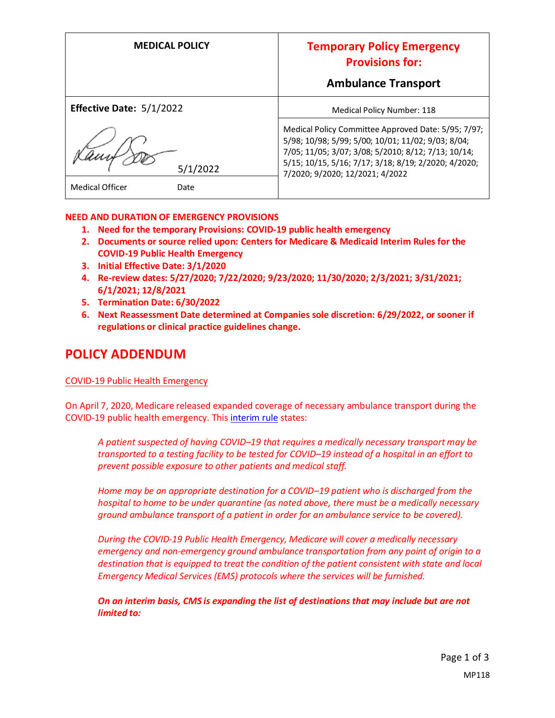| <b>MEDICAL POLICY</b>          | <b>Temporary Policy Emergency</b><br><b>Provisions for:</b><br><b>Ambulance Transport</b>                                                                                                            |
|--------------------------------|------------------------------------------------------------------------------------------------------------------------------------------------------------------------------------------------------|
| Effective Date: 5/1/2022       | Medical Policy Number: 118<br>Medical Policy Committee Approved Date: 5/95; 7/97;                                                                                                                    |
| 5/1/2022                       | 5/98; 10/98; 5/99; 5/00; 10/01; 11/02; 9/03; 8/04;<br>7/05; 11/05; 3/07; 3/08; 5/2010; 8/12; 7/13; 10/14;<br>5/15; 10/15, 5/16; 7/17; 3/18; 8/19; 2/2020; 4/2020;<br>7/2020; 9/2020; 12/2021; 4/2022 |
| <b>Medical Officer</b><br>Date |                                                                                                                                                                                                      |

#### **NEED AND DURATION OF EMERGENCY PROVISIONS**

- **1. Need for the temporary Provisions: COVID-19 public health emergency**
- **2. Documents or source relied upon: Centers for Medicare & Medicaid Interim Rules for the COVID-19 Public Health Emergency**
- **3. Initial Effective Date: 3/1/2020**
- **4. Re-review dates: 5/27/2020; 7/22/2020; 9/23/2020; 11/30/2020; 2/3/2021; 3/31/2021; 6/1/2021; 12/8/2021**
- **5. Termination Date: 6/30/2022**
- **6. Next Reassessment Date determined at Companies sole discretion: 6/29/2022, or sooner if regulations or clinical practice guidelines change.**

### **POLICY ADDENDUM**

#### COVID-19 Public Health Emergency

On April 7, 2020, Medicare released expanded coverage of necessary ambulance transport during the COVID-19 public health emergency. This [interim rule](https://www.federalregister.gov/documents/2020/04/06/2020-06990/medicare-and-medicaid-programs-policy-and-regulatory-revisions-in-response-to-the-covid-19-public) states:

*A patient suspected of having COVID–19 that requires a medically necessary transport may be transported to a testing facility to be tested for COVID–19 instead of a hospital in an effort to prevent possible exposure to other patients and medical staff.*

*Home may be an appropriate destination for a COVID–19 patient who is discharged from the hospital to home to be under quarantine (as noted above, there must be a medically necessary ground ambulance transport of a patient in order for an ambulance service to be covered).*

*During the COVID-19 Public Health Emergency, Medicare will cover a medically necessary emergency and non-emergency ground ambulance transportation from any point of origin to a destination that is equipped to treat the condition of the patient consistent with state and local Emergency Medical Services (EMS) protocols where the services will be furnished.* 

*On an interim basis, CMS is expanding the list of destinations that may include but are not limited to:*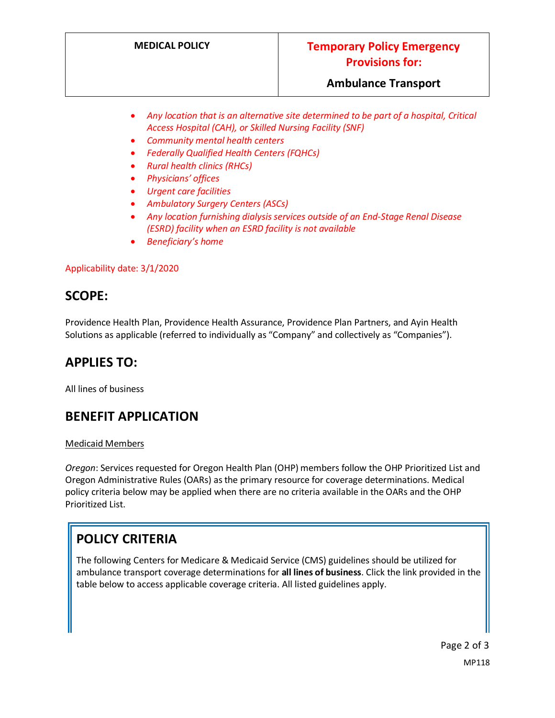### **Ambulance Transport**

- *Any location that is an alternative site determined to be part of a hospital, Critical Access Hospital (CAH), or Skilled Nursing Facility (SNF)*
- *Community mental health centers*
- *Federally Qualified Health Centers (FQHCs)*
- *Rural health clinics (RHCs)*
- *Physicians' offices*
- *Urgent care facilities*
- *Ambulatory Surgery Centers (ASCs)*
- *Any location furnishing dialysis services outside of an End-Stage Renal Disease (ESRD) facility when an ESRD facility is not available*
- *Beneficiary's home*

#### Applicability date: 3/1/2020

### **SCOPE:**

Providence Health Plan, Providence Health Assurance, Providence Plan Partners, and Ayin Health Solutions as applicable (referred to individually as "Company" and collectively as "Companies").

## **APPLIES TO:**

All lines of business

## **BENEFIT APPLICATION**

#### Medicaid Members

*Oregon*: Services requested for Oregon Health Plan (OHP) members follow the OHP Prioritized List and Oregon Administrative Rules (OARs) as the primary resource for coverage determinations. Medical policy criteria below may be applied when there are no criteria available in the OARs and the OHP Prioritized List.

# **POLICY CRITERIA**

The following Centers for Medicare & Medicaid Service (CMS) guidelines should be utilized for ambulance transport coverage determinations for **all lines of business**. Click the link provided in the table below to access applicable coverage criteria. All listed guidelines apply.

> Page 2 of 3 MP118